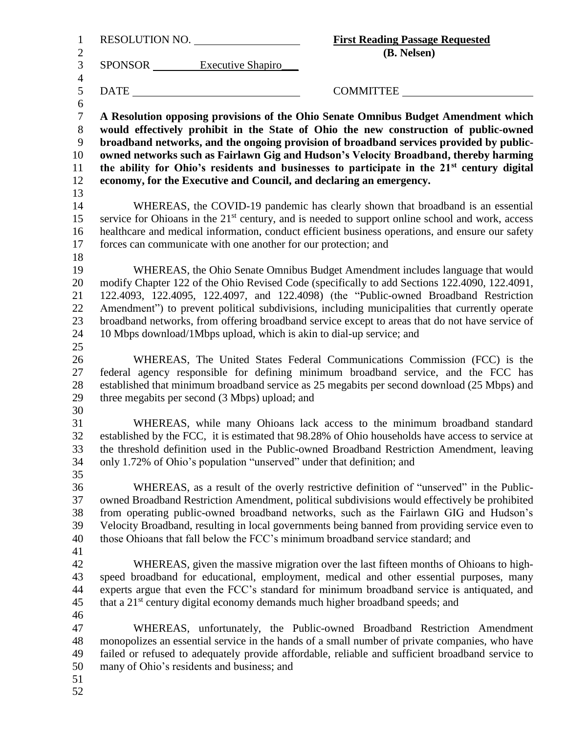| $\mathbf{1}$        | RESOLUTION NO.                                                  | <b>First Reading Passage Requested</b>                                                                                                                              |
|---------------------|-----------------------------------------------------------------|---------------------------------------------------------------------------------------------------------------------------------------------------------------------|
| $\overline{2}$      |                                                                 | (B. Nelsen)                                                                                                                                                         |
| 3                   | SPONSOR Executive Shapiro                                       |                                                                                                                                                                     |
| $\overline{4}$<br>5 | <b>DATE</b>                                                     | COMMITTEE                                                                                                                                                           |
| 6                   |                                                                 |                                                                                                                                                                     |
| $\tau$              |                                                                 | A Resolution opposing provisions of the Ohio Senate Omnibus Budget Amendment which                                                                                  |
| $8\,$               |                                                                 | would effectively prohibit in the State of Ohio the new construction of public-owned                                                                                |
| 9                   |                                                                 | broadband networks, and the ongoing provision of broadband services provided by public-                                                                             |
| 10                  |                                                                 | owned networks such as Fairlawn Gig and Hudson's Velocity Broadband, thereby harming                                                                                |
| 11                  |                                                                 | the ability for Ohio's residents and businesses to participate in the 21 <sup>st</sup> century digital                                                              |
| 12                  |                                                                 | economy, for the Executive and Council, and declaring an emergency.                                                                                                 |
| 13                  |                                                                 |                                                                                                                                                                     |
| 14                  |                                                                 | WHEREAS, the COVID-19 pandemic has clearly shown that broadband is an essential                                                                                     |
| 15                  |                                                                 | service for Ohioans in the 21 <sup>st</sup> century, and is needed to support online school and work, access                                                        |
| 16                  |                                                                 | healthcare and medical information, conduct efficient business operations, and ensure our safety                                                                    |
| 17                  | forces can communicate with one another for our protection; and |                                                                                                                                                                     |
| 18                  |                                                                 |                                                                                                                                                                     |
| 19                  |                                                                 | WHEREAS, the Ohio Senate Omnibus Budget Amendment includes language that would                                                                                      |
| 20                  |                                                                 | modify Chapter 122 of the Ohio Revised Code (specifically to add Sections 122.4090, 122.4091,                                                                       |
| 21                  |                                                                 | 122.4093, 122.4095, 122.4097, and 122.4098) (the "Public-owned Broadband Restriction                                                                                |
| 22                  |                                                                 | Amendment") to prevent political subdivisions, including municipalities that currently operate                                                                      |
| 23                  |                                                                 | broadband networks, from offering broadband service except to areas that do not have service of                                                                     |
| 24                  |                                                                 | 10 Mbps download/1Mbps upload, which is akin to dial-up service; and                                                                                                |
| 25                  |                                                                 |                                                                                                                                                                     |
| 26                  |                                                                 | WHEREAS, The United States Federal Communications Commission (FCC) is the                                                                                           |
| 27                  |                                                                 | federal agency responsible for defining minimum broadband service, and the FCC has                                                                                  |
| 28                  |                                                                 | established that minimum broadband service as 25 megabits per second download (25 Mbps) and                                                                         |
| 29                  | three megabits per second (3 Mbps) upload; and                  |                                                                                                                                                                     |
| 30                  |                                                                 |                                                                                                                                                                     |
| 31                  |                                                                 | WHEREAS, while many Ohioans lack access to the minimum broadband standard                                                                                           |
| 32                  |                                                                 | established by the FCC, it is estimated that 98.28% of Ohio households have access to service at                                                                    |
| 33<br>34            |                                                                 | the threshold definition used in the Public-owned Broadband Restriction Amendment, leaving<br>only 1.72% of Ohio's population "unserved" under that definition; and |
| 35                  |                                                                 |                                                                                                                                                                     |
| 36                  |                                                                 | WHEREAS, as a result of the overly restrictive definition of "unserved" in the Public-                                                                              |
| 37                  |                                                                 | owned Broadband Restriction Amendment, political subdivisions would effectively be prohibited                                                                       |
| 38                  |                                                                 | from operating public-owned broadband networks, such as the Fairlawn GIG and Hudson's                                                                               |
| 39                  |                                                                 | Velocity Broadband, resulting in local governments being banned from providing service even to                                                                      |
| 40                  |                                                                 | those Ohioans that fall below the FCC's minimum broadband service standard; and                                                                                     |
| 41                  |                                                                 |                                                                                                                                                                     |
| 42                  |                                                                 | WHEREAS, given the massive migration over the last fifteen months of Ohioans to high-                                                                               |
| 43                  |                                                                 | speed broadband for educational, employment, medical and other essential purposes, many                                                                             |
| 44                  |                                                                 | experts argue that even the FCC's standard for minimum broadband service is antiquated, and                                                                         |
| 45                  |                                                                 | that a 21 <sup>st</sup> century digital economy demands much higher broadband speeds; and                                                                           |
| 46                  |                                                                 |                                                                                                                                                                     |
| 47                  |                                                                 | WHEREAS, unfortunately, the Public-owned Broadband Restriction Amendment                                                                                            |
| 48                  |                                                                 | monopolizes an essential service in the hands of a small number of private companies, who have                                                                      |
| 49                  |                                                                 | failed or refused to adequately provide affordable, reliable and sufficient broadband service to                                                                    |
| 50                  | many of Ohio's residents and business; and                      |                                                                                                                                                                     |
| 51                  |                                                                 |                                                                                                                                                                     |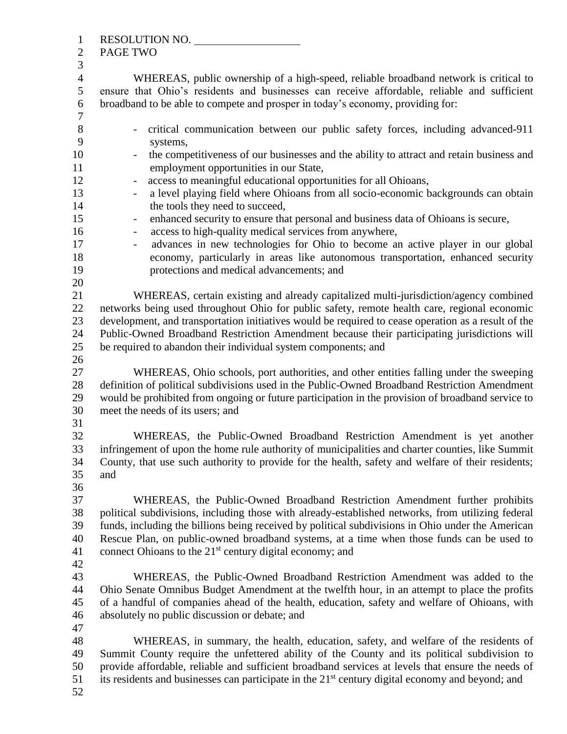| $\mathbf{1}$            | RESOLUTION NO.                                                                                                                                                                               |  |  |
|-------------------------|----------------------------------------------------------------------------------------------------------------------------------------------------------------------------------------------|--|--|
| $\mathbf{2}$            | PAGE TWO                                                                                                                                                                                     |  |  |
| 3                       |                                                                                                                                                                                              |  |  |
| $\overline{4}$<br>5     | WHEREAS, public ownership of a high-speed, reliable broadband network is critical to<br>ensure that Ohio's residents and businesses can receive affordable, reliable and sufficient          |  |  |
| 6                       | broadband to be able to compete and prosper in today's economy, providing for:                                                                                                               |  |  |
| $\overline{7}$<br>$8\,$ | critical communication between our public safety forces, including advanced-911<br>$\qquad \qquad -$                                                                                         |  |  |
| 9                       | systems,                                                                                                                                                                                     |  |  |
| 10<br>11                | the competitiveness of our businesses and the ability to attract and retain business and<br>employment opportunities in our State,                                                           |  |  |
| 12                      | access to meaningful educational opportunities for all Ohioans,<br>$\overline{\phantom{0}}$                                                                                                  |  |  |
| 13<br>14                | a level playing field where Ohioans from all socio-economic backgrounds can obtain<br>$\qquad \qquad \blacksquare$<br>the tools they need to succeed,                                        |  |  |
| 15                      |                                                                                                                                                                                              |  |  |
| 16                      | enhanced security to ensure that personal and business data of Ohioans is secure,<br>$\qquad \qquad -$<br>access to high-quality medical services from anywhere,<br>$\overline{\phantom{a}}$ |  |  |
| 17                      | advances in new technologies for Ohio to become an active player in our global<br>$\overline{\phantom{0}}$                                                                                   |  |  |
| 18                      | economy, particularly in areas like autonomous transportation, enhanced security                                                                                                             |  |  |
| 19                      | protections and medical advancements; and                                                                                                                                                    |  |  |
| 20                      |                                                                                                                                                                                              |  |  |
| 21                      | WHEREAS, certain existing and already capitalized multi-jurisdiction/agency combined                                                                                                         |  |  |
| 22                      | networks being used throughout Ohio for public safety, remote health care, regional economic                                                                                                 |  |  |
| 23                      | development, and transportation initiatives would be required to cease operation as a result of the                                                                                          |  |  |
| 24                      | Public-Owned Broadband Restriction Amendment because their participating jurisdictions will                                                                                                  |  |  |
| 25                      | be required to abandon their individual system components; and                                                                                                                               |  |  |
| 26                      |                                                                                                                                                                                              |  |  |
| 27                      | WHEREAS, Ohio schools, port authorities, and other entities falling under the sweeping                                                                                                       |  |  |
| 28                      | definition of political subdivisions used in the Public-Owned Broadband Restriction Amendment                                                                                                |  |  |
| 29                      | would be prohibited from ongoing or future participation in the provision of broadband service to                                                                                            |  |  |
| 30                      | meet the needs of its users; and                                                                                                                                                             |  |  |
| 31                      |                                                                                                                                                                                              |  |  |
| 32                      | WHEREAS, the Public-Owned Broadband Restriction Amendment is yet another                                                                                                                     |  |  |
| 33                      | infringement of upon the home rule authority of municipalities and charter counties, like Summit                                                                                             |  |  |
| 34                      | County, that use such authority to provide for the health, safety and welfare of their residents;                                                                                            |  |  |
| 35                      | and                                                                                                                                                                                          |  |  |
| 36                      |                                                                                                                                                                                              |  |  |
| 37                      | WHEREAS, the Public-Owned Broadband Restriction Amendment further prohibits                                                                                                                  |  |  |
| 38                      | political subdivisions, including those with already-established networks, from utilizing federal                                                                                            |  |  |
| 39                      | funds, including the billions being received by political subdivisions in Ohio under the American                                                                                            |  |  |
| 40                      | Rescue Plan, on public-owned broadband systems, at a time when those funds can be used to                                                                                                    |  |  |
| 41                      | connect Ohioans to the 21 <sup>st</sup> century digital economy; and                                                                                                                         |  |  |
| 42                      |                                                                                                                                                                                              |  |  |
| 43                      | WHEREAS, the Public-Owned Broadband Restriction Amendment was added to the                                                                                                                   |  |  |
| 44                      | Ohio Senate Omnibus Budget Amendment at the twelfth hour, in an attempt to place the profits                                                                                                 |  |  |
| 45                      | of a handful of companies ahead of the health, education, safety and welfare of Ohioans, with                                                                                                |  |  |
| 46                      | absolutely no public discussion or debate; and                                                                                                                                               |  |  |
| 47                      |                                                                                                                                                                                              |  |  |
| 48                      | WHEREAS, in summary, the health, education, safety, and welfare of the residents of                                                                                                          |  |  |
| 49                      | Summit County require the unfettered ability of the County and its political subdivision to                                                                                                  |  |  |
| 50                      | provide affordable, reliable and sufficient broadband services at levels that ensure the needs of                                                                                            |  |  |
| 51                      | its residents and businesses can participate in the 21 <sup>st</sup> century digital economy and beyond; and                                                                                 |  |  |
| 52                      |                                                                                                                                                                                              |  |  |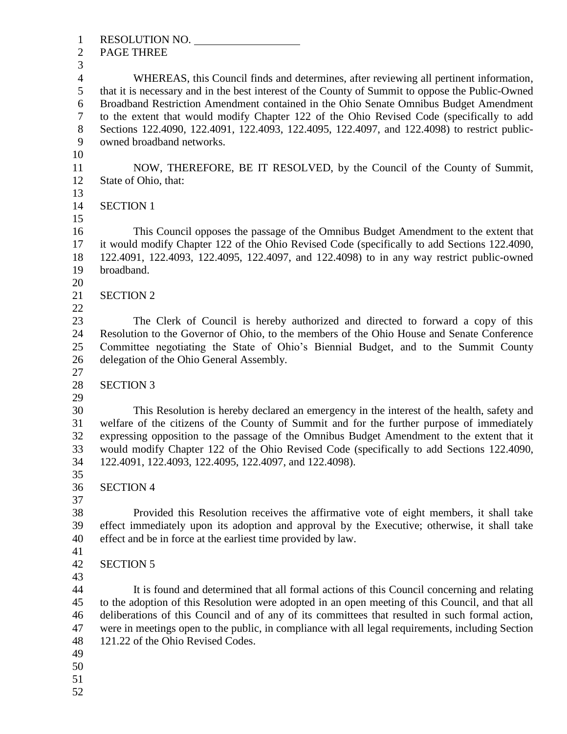RESOLUTION NO. PAGE THREE WHEREAS, this Council finds and determines, after reviewing all pertinent information, that it is necessary and in the best interest of the County of Summit to oppose the Public-Owned Broadband Restriction Amendment contained in the Ohio Senate Omnibus Budget Amendment to the extent that would modify Chapter 122 of the Ohio Revised Code (specifically to add Sections 122.4090, 122.4091, 122.4093, 122.4095, 122.4097, and 122.4098) to restrict public- owned broadband networks. NOW, THEREFORE, BE IT RESOLVED, by the Council of the County of Summit, State of Ohio, that: SECTION 1 This Council opposes the passage of the Omnibus Budget Amendment to the extent that it would modify Chapter 122 of the Ohio Revised Code (specifically to add Sections 122.4090, 122.4091, 122.4093, 122.4095, 122.4097, and 122.4098) to in any way restrict public-owned broadband. SECTION 2 The Clerk of Council is hereby authorized and directed to forward a copy of this Resolution to the Governor of Ohio, to the members of the Ohio House and Senate Conference Committee negotiating the State of Ohio's Biennial Budget, and to the Summit County delegation of the Ohio General Assembly. SECTION 3 This Resolution is hereby declared an emergency in the interest of the health, safety and welfare of the citizens of the County of Summit and for the further purpose of immediately expressing opposition to the passage of the Omnibus Budget Amendment to the extent that it would modify Chapter 122 of the Ohio Revised Code (specifically to add Sections 122.4090, 122.4091, 122.4093, 122.4095, 122.4097, and 122.4098). SECTION 4 Provided this Resolution receives the affirmative vote of eight members, it shall take effect immediately upon its adoption and approval by the Executive; otherwise, it shall take effect and be in force at the earliest time provided by law. SECTION 5 It is found and determined that all formal actions of this Council concerning and relating to the adoption of this Resolution were adopted in an open meeting of this Council, and that all deliberations of this Council and of any of its committees that resulted in such formal action, were in meetings open to the public, in compliance with all legal requirements, including Section 121.22 of the Ohio Revised Codes.